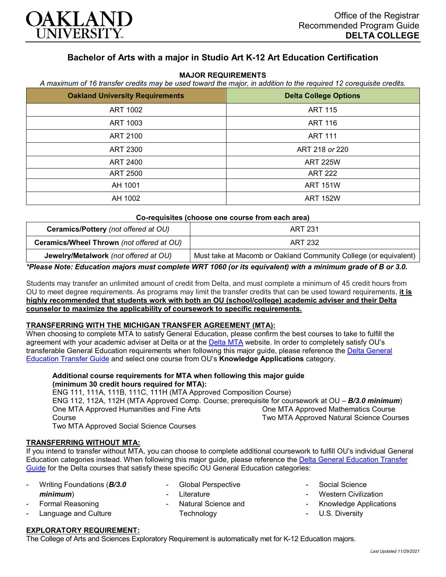

# **Bachelor of Arts with a major in Studio Art K-12 Art Education Certification**

#### **MAJOR REQUIREMENTS**

*A maximum of 16 transfer credits may be used toward the major, in addition to the required 12 corequisite credits.*

| <b>Oakland University Requirements</b> | <b>Delta College Options</b> |
|----------------------------------------|------------------------------|
| ART 1002                               | <b>ART 115</b>               |
| ART 1003                               | <b>ART 116</b>               |
| ART 2100                               | <b>ART 111</b>               |
| ART 2300                               | ART 218 or 220               |
| <b>ART 2400</b>                        | <b>ART 225W</b>              |
| <b>ART 2500</b>                        | <b>ART 222</b>               |
| AH 1001                                | <b>ART 151W</b>              |
| AH 1002                                | <b>ART 152W</b>              |

#### **Co-requisites (choose one course from each area)**

| Ceramics/Pottery (not offered at OU)      | <b>ART 231</b>                                                   |
|-------------------------------------------|------------------------------------------------------------------|
| Ceramics/Wheel Thrown (not offered at OU) | <b>ART 232</b>                                                   |
| Jewelry/Metalwork (not offered at OU)     | Must take at Macomb or Oakland Community College (or equivalent) |

*\*Please Note: Education majors must complete WRT 1060 (or its equivalent) with a minimum grade of B or 3.0.*

Students may transfer an unlimited amount of credit from Delta, and must complete a minimum of 45 credit hours from OU to meet degree requirements. As programs may limit the transfer credits that can be used toward requirements, **it is highly recommended that students work with both an OU (school/college) academic adviser and their Delta counselor to maximize the applicability of coursework to specific requirements.**

## **TRANSFERRING WITH THE MICHIGAN TRANSFER AGREEMENT (MTA):**

When choosing to complete MTA to satisfy General Education, please confirm the best courses to take to fulfill the agreement with your academic adviser at Delta or at the [Delta MTA](http://catalog.delta.edu/content.php?catoid=10&navoid=1320&hl=MTA&returnto=search) website. In order to completely satisfy OU's transferable General Education requirements when following this major guide, please reference the [Delta General](https://www.oakland.edu/Assets/Oakland/program-guides/delta-college/university-general-education-requirements/Delta%20Gen%20Ed.pdf)  [Education Transfer Guide](https://www.oakland.edu/Assets/Oakland/program-guides/delta-college/university-general-education-requirements/Delta%20Gen%20Ed.pdf) and select one course from OU's **Knowledge Applications** category.

### **Additional course requirements for MTA when following this major guide (minimum 30 credit hours required for MTA):**

ENG 111, 111A, 111B, 111C, 111H (MTA Approved Composition Course) ENG 112, 112A, 112H (MTA Approved Comp. Course; prerequisite for coursework at OU – *B/3.0 minimum*) One MTA Approved Humanities and Fine Arts Course Two MTA Approved Social Science Courses One MTA Approved Mathematics Course Two MTA Approved Natural Science Courses

# **TRANSFERRING WITHOUT MTA:**

If you intend to transfer without MTA, you can choose to complete additional coursework to fulfill OU's individual General Education categories instead. When following this major guide, please reference the [Delta General Education Transfer](https://www.oakland.edu/Assets/Oakland/program-guides/delta-college/university-general-education-requirements/Delta%20Gen%20Ed.pdf)  [Guide](https://www.oakland.edu/Assets/Oakland/program-guides/delta-college/university-general-education-requirements/Delta%20Gen%20Ed.pdf) for the Delta courses that satisfy these specific OU General Education categories:

- Writing Foundations (*B/3.0 minimum*)

> Formal Reasoning Language and Culture

- Global Perspective
- **Literature** 
	- Natural Science and **Technology**
- Social Science
- **Western Civilization**
- Knowledge Applications
- U.S. Diversity

## **EXPLORATORY REQUIREMENT:**

The College of Arts and Sciences Exploratory Requirement is automatically met for K-12 Education majors.